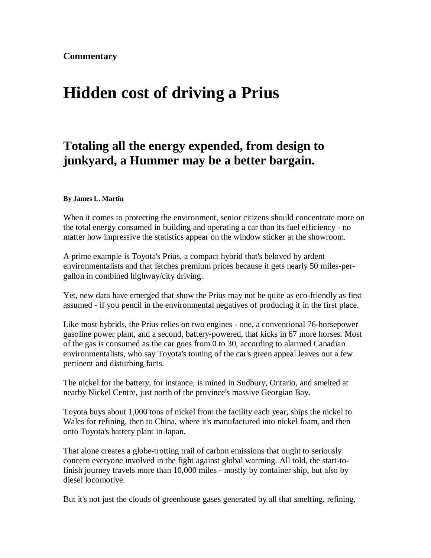## **Hidden cost of driving a Prius**

## **Totaling all the energy expended, from design to junkyard, a Hummer may be a better bargain.**

## **By James L. Martin**

When it comes to protecting the environment, senior citizens should concentrate more on the total energy consumed in building and operating a car than its fuel efficiency - no matter how impressive the statistics appear on the window sticker at the showroom.

A prime example is Toyota's Prius, a compact hybrid that's beloved by ardent environmentalists and that fetches premium prices because it gets nearly 50 miles-pergallon in combined highway/city driving.

Yet, new data have emerged that show the Prius may not be quite as eco-friendly as first assumed - if you pencil in the environmental negatives of producing it in the first place.

Like most hybrids, the Prius relies on two engines - one, a conventional 76-horsepower gasoline power plant, and a second, battery-powered, that kicks in 67 more horses. Most of the gas is consumed as the car goes from 0 to 30, according to alarmed Canadian environmentalists, who say Toyota's touting of the car's green appeal leaves out a few pertinent and disturbing facts.

The nickel for the battery, for instance, is mined in Sudbury, Ontario, and smelted at nearby Nickel Centre, just north of the province's massive Georgian Bay.

Toyota buys about 1,000 tons of nickel from the facility each year, ships the nickel to Wales for refining, then to China, where it's manufactured into nickel foam, and then onto Toyota's battery plant in Japan.

That alone creates a globe-trotting trail of carbon emissions that ought to seriously concern everyone involved in the fight against global warming. All told, the start-tofinish journey travels more than 10,000 miles - mostly by container ship, but also by diesel locomotive.

But it's not just the clouds of greenhouse gases generated by all that smelting, refining,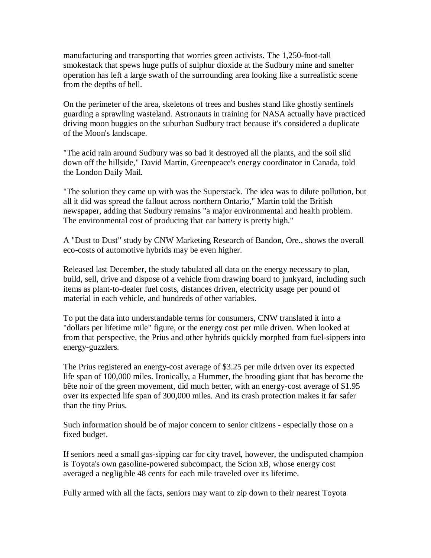manufacturing and transporting that worries green activists. The 1,250-foot-tall smokestack that spews huge puffs of sulphur dioxide at the Sudbury mine and smelter operation has left a large swath of the surrounding area looking like a surrealistic scene from the depths of hell.

On the perimeter of the area, skeletons of trees and bushes stand like ghostly sentinels guarding a sprawling wasteland. Astronauts in training for NASA actually have practiced driving moon buggies on the suburban Sudbury tract because it's considered a duplicate of the Moon's landscape.

"The acid rain around Sudbury was so bad it destroyed all the plants, and the soil slid down off the hillside," David Martin, Greenpeace's energy coordinator in Canada, told the London Daily Mail.

"The solution they came up with was the Superstack. The idea was to dilute pollution, but all it did was spread the fallout across northern Ontario," Martin told the British newspaper, adding that Sudbury remains "a major environmental and health problem. The environmental cost of producing that car battery is pretty high."

A "Dust to Dust" study by CNW Marketing Research of Bandon, Ore., shows the overall eco-costs of automotive hybrids may be even higher.

Released last December, the study tabulated all data on the energy necessary to plan, build, sell, drive and dispose of a vehicle from drawing board to junkyard, including such items as plant-to-dealer fuel costs, distances driven, electricity usage per pound of material in each vehicle, and hundreds of other variables.

To put the data into understandable terms for consumers, CNW translated it into a "dollars per lifetime mile" figure, or the energy cost per mile driven. When looked at from that perspective, the Prius and other hybrids quickly morphed from fuel-sippers into energy-guzzlers.

The Prius registered an energy-cost average of \$3.25 per mile driven over its expected life span of 100,000 miles. Ironically, a Hummer, the brooding giant that has become the bête noir of the green movement, did much better, with an energy-cost average of \$1.95 over its expected life span of 300,000 miles. And its crash protection makes it far safer than the tiny Prius.

Such information should be of major concern to senior citizens - especially those on a fixed budget.

If seniors need a small gas-sipping car for city travel, however, the undisputed champion is Toyota's own gasoline-powered subcompact, the Scion xB, whose energy cost averaged a negligible 48 cents for each mile traveled over its lifetime.

Fully armed with all the facts, seniors may want to zip down to their nearest Toyota